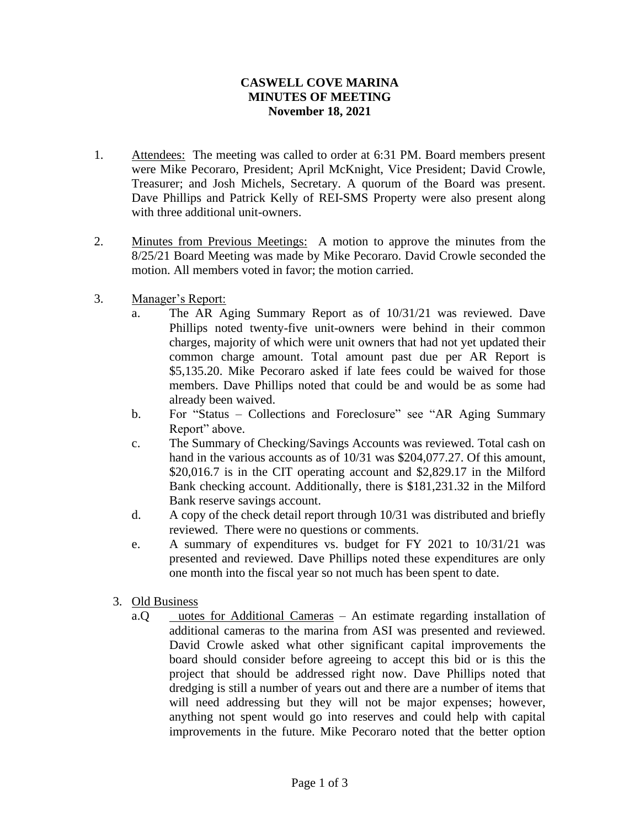## **November 18, 2021 MINUTES OF MEETING CASWELL COVE MARINA**

- 1. Attendees: The meeting was called to order at 6:31 PM. Board members present Treasurer; and Josh Michels, Secretary. A quorum of the Board was present. with three additional unit-owners. Dave Phillips and Patrick Kelly of REI-SMS Property were also present along were Mike Pecoraro, President; April McKnight, Vice President; David Crowle,
- 2. Minutes from Previous Meetings: A motion to approve the minutes from the motion. All members voted in favor; the motion carried. 8/25/21 Board Meeting was made by Mike Pecoraro. David Crowle seconded the
- 3. Manager's Report:
	- already been waived. members. Dave Phillips noted that could be and would be as some had \$5,135.20. Mike Pecoraro asked if late fees could be waived for those common charge amount. Total amount past due per AR Report is charges, majority of which were unit owners that had not yet updated their Phillips noted twenty-five unit-owners were behind in their common a. The AR Aging Summary Report as of 10/31/21 was reviewed. Dave
	- Report" above. b. For "Status – Collections and Foreclosure" see "AR Aging Summary
	- Bank reserve savings account. Bank checking account. Additionally, there is \$181,231.32 in the Milford \$20,016.7 is in the CIT operating account and \$2,829.17 in the Milford hand in the various accounts as of 10/31 was \$204,077.27. Of this amount, c. The Summary of Checking/Savings Accounts was reviewed. Total cash on
	- reviewed. There were no questions or comments. d. A copy of the check detail report through 10/31 was distributed and briefly
	- one month into the fiscal year so not much has been spent to date. presented and reviewed. Dave Phillips noted these expenditures are only e. A summary of expenditures vs. budget for FY 2021 to 10/31/21 was
	- 3. Old Business
		- improvements in the future. Mike Pecoraro noted that the better option anything not spent would go into reserves and could help with capital will need addressing but they will not be major expenses; however, dredging is still a number of years out and there are a number of items that project that should be addressed right now. Dave Phillips noted that board should consider before agreeing to accept this bid or is this the David Crowle asked what other significant capital improvements the additional cameras to the marina from ASI was presented and reviewed. a.Q uotes for Additional Cameras – An estimate regarding installation of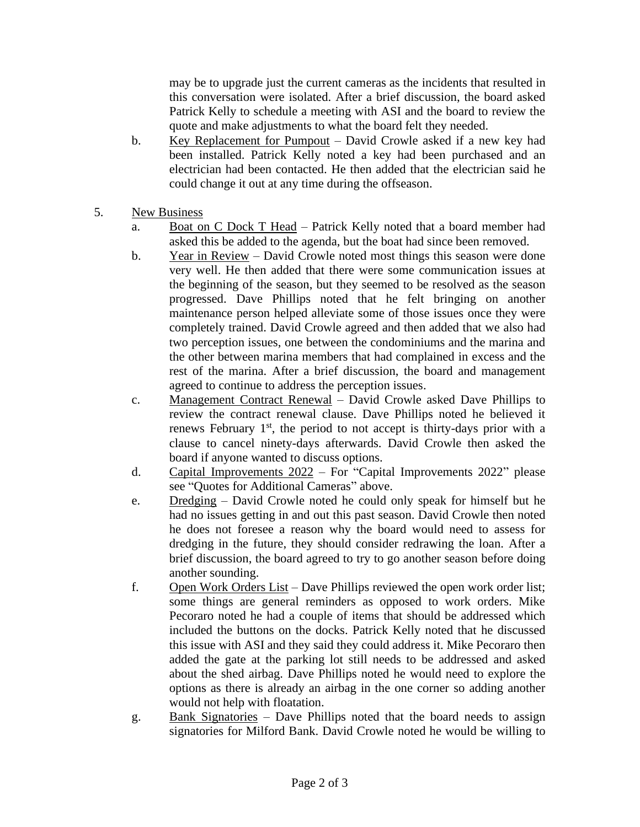may be to upgrade just the current cameras as the incidents that resulted in this conversation were isolated. After a brief discussion, the board asked Patrick Kelly to schedule a meeting with ASI and the board to review the quote and make adjustments to what the board felt they needed.

- b. Key Replacement for Pumpout David Crowle asked if a new key had been installed. Patrick Kelly noted a key had been purchased and an electrician had been contacted. He then added that the electrician said he could change it out at any time during the offseason.
- 5. New Business
	- a. Boat on C Dock T Head Patrick Kelly noted that a board member had asked this be added to the agenda, but the boat had since been removed.
	- b. Year in Review David Crowle noted most things this season were done very well. He then added that there were some communication issues at the beginning of the season, but they seemed to be resolved as the season progressed. Dave Phillips noted that he felt bringing on another maintenance person helped alleviate some of those issues once they were completely trained. David Crowle agreed and then added that we also had two perception issues, one between the condominiums and the marina and the other between marina members that had complained in excess and the rest of the marina. After a brief discussion, the board and management agreed to continue to address the perception issues.
	- c. Management Contract Renewal David Crowle asked Dave Phillips to review the contract renewal clause. Dave Phillips noted he believed it renews February 1<sup>st</sup>, the period to not accept is thirty-days prior with a clause to cancel ninety-days afterwards. David Crowle then asked the board if anyone wanted to discuss options.
	- d. Capital Improvements 2022 For "Capital Improvements 2022" please see "Quotes for Additional Cameras" above.
	- e. Dredging David Crowle noted he could only speak for himself but he had no issues getting in and out this past season. David Crowle then noted he does not foresee a reason why the board would need to assess for dredging in the future, they should consider redrawing the loan. After a brief discussion, the board agreed to try to go another season before doing another sounding.
	- f. Open Work Orders List Dave Phillips reviewed the open work order list; some things are general reminders as opposed to work orders. Mike Pecoraro noted he had a couple of items that should be addressed which included the buttons on the docks. Patrick Kelly noted that he discussed this issue with ASI and they said they could address it. Mike Pecoraro then added the gate at the parking lot still needs to be addressed and asked about the shed airbag. Dave Phillips noted he would need to explore the options as there is already an airbag in the one corner so adding another would not help with floatation.
	- g. Bank Signatories Dave Phillips noted that the board needs to assign signatories for Milford Bank. David Crowle noted he would be willing to